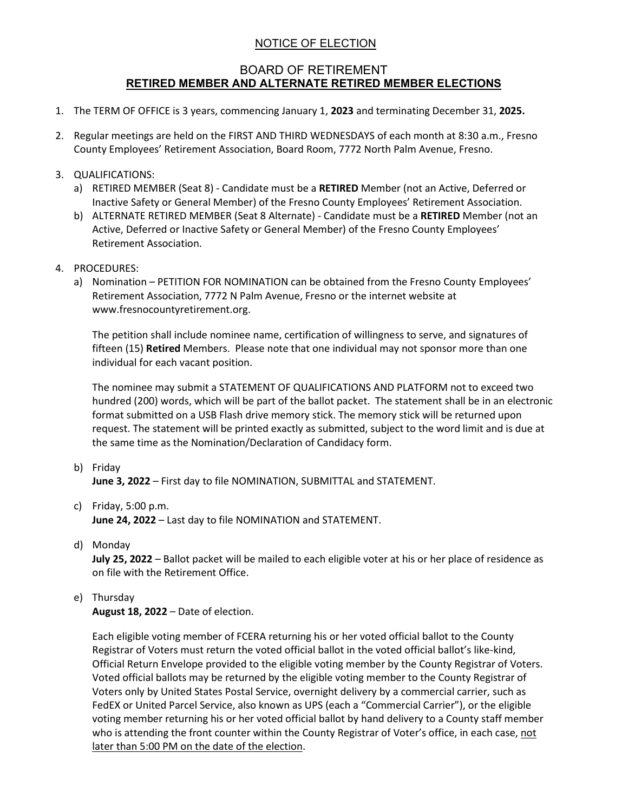## NOTICE OF ELECTION

## BOARD OF RETIREMENT **RETIRED MEMBER AND ALTERNATE RETIRED MEMBER ELECTIONS**

- 1. The TERM OF OFFICE is 3 years, commencing January 1, **2023** and terminating December 31, **2025.**
- 2. Regular meetings are held on the FIRST AND THIRD WEDNESDAYS of each month at 8:30 a.m., Fresno County Employees' Retirement Association, Board Room, 7772 North Palm Avenue, Fresno.
- 3. QUALIFICATIONS:
	- a) RETIRED MEMBER (Seat 8) Candidate must be a **RETIRED** Member (not an Active, Deferred or Inactive Safety or General Member) of the Fresno County Employees' Retirement Association.
	- b) ALTERNATE RETIRED MEMBER (Seat 8 Alternate) Candidate must be a **RETIRED** Member (not an Active, Deferred or Inactive Safety or General Member) of the Fresno County Employees' Retirement Association.
- 4. PROCEDURES:
	- a) Nomination PETITION FOR NOMINATION can be obtained from the Fresno County Employees' Retirement Association, 7772 N Palm Avenue, Fresno or the internet website at www.fresnocountyretirement.org.

The petition shall include nominee name, certification of willingness to serve, and signatures of fifteen (15) **Retired** Members. Please note that one individual may not sponsor more than one individual for each vacant position.

The nominee may submit a STATEMENT OF QUALIFICATIONS AND PLATFORM not to exceed two hundred (200) words, which will be part of the ballot packet. The statement shall be in an electronic format submitted on a USB Flash drive memory stick. The memory stick will be returned upon request. The statement will be printed exactly as submitted, subject to the word limit and is due at the same time as the Nomination/Declaration of Candidacy form.

b) Friday

**June 3, 2022** – First day to file NOMINATION, SUBMITTAL and STATEMENT.

c) Friday, 5:00 p.m.

**June 24, 2022** – Last day to file NOMINATION and STATEMENT.

d) Monday

**July 25, 2022** – Ballot packet will be mailed to each eligible voter at his or her place of residence as on file with the Retirement Office.

e) Thursday

**August 18, 2022** – Date of election.

Each eligible voting member of FCERA returning his or her voted official ballot to the County Registrar of Voters must return the voted official ballot in the voted official ballot's like-kind, Official Return Envelope provided to the eligible voting member by the County Registrar of Voters. Voted official ballots may be returned by the eligible voting member to the County Registrar of Voters only by United States Postal Service, overnight delivery by a commercial carrier, such as FedEX or United Parcel Service, also known as UPS (each a "Commercial Carrier"), or the eligible voting member returning his or her voted official ballot by hand delivery to a County staff member who is attending the front counter within the County Registrar of Voter's office, in each case, not later than 5:00 PM on the date of the election.